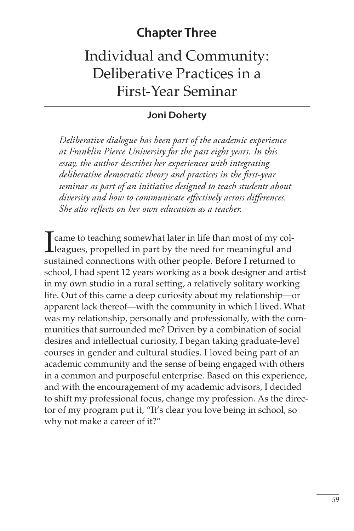# Individual and Community: Deliberative Practices in a First-Year Seminar

# **Joni Doherty**

Deliberative dialogue has been part of the academic experience at Franklin Pierce University for the past eight years. In this essay, the author describes her experiences with integrating deliberative democratic theory and practices in the first-year seminar as part of an initiative designed to teach students about diversity and how to communicate effectively across differences. She also reflects on her own education as a teacher.

T came to teaching somewhat later in life than most of my col- $\blacksquare$  leagues, propelled in part by the need for meaningful and sustained connections with other people. Before I returned to school, I had spent 12 years working as a book designer and artist in my own studio in a rural setting, a relatively solitary working life. Out of this came a deep curiosity about my relationship-or apparent lack thereof—with the community in which I lived. What was my relationship, personally and professionally, with the communities that surrounded me? Driven by a combination of social desires and intellectual curiosity, I began taking graduate-level courses in gender and cultural studies. I loved being part of an academic community and the sense of being engaged with others in a common and purposeful enterprise. Based on this experience, and with the encouragement of my academic advisors, I decided to shift my professional focus, change my profession. As the director of my program put it, "It's clear you love being in school, so why not make a career of it?"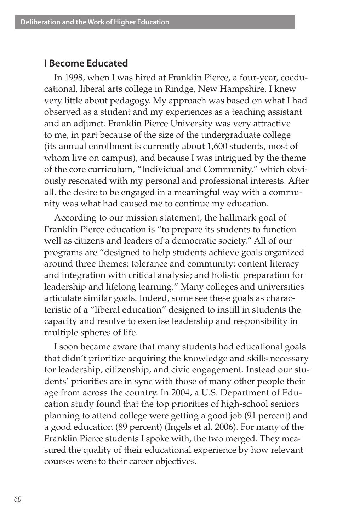#### **I Become Educated**

In 1998, when I was hired at Franklin Pierce, a four-year, coeducational, liberal arts college in Rindge, New Hampshire, I knew very little about pedagogy. My approach was based on what I had observed as a student and my experiences as a teaching assistant and an adjunct. Franklin Pierce University was very attractive to me, in part because of the size of the undergraduate college (its annual enrollment is currently about 1,600 students, most of whom live on campus), and because I was intrigued by the theme of the core curriculum, "Individual and Community," which obviously resonated with my personal and professional interests. After all, the desire to be engaged in a meaningful way with a community was what had caused me to continue my education.

According to our mission statement, the hallmark goal of Franklin Pierce education is "to prepare its students to function well as citizens and leaders of a democratic society." All of our programs are "designed to help students achieve goals organized around three themes: tolerance and community; content literacy and integration with critical analysis; and holistic preparation for leadership and lifelong learning." Many colleges and universities articulate similar goals. Indeed, some see these goals as characteristic of a "liberal education" designed to instill in students the capacity and resolve to exercise leadership and responsibility in multiple spheres of life.

I soon became aware that many students had educational goals that didn't prioritize acquiring the knowledge and skills necessary for leadership, citizenship, and civic engagement. Instead our students' priorities are in sync with those of many other people their age from across the country. In 2004, a U.S. Department of Education study found that the top priorities of high-school seniors planning to attend college were getting a good job (91 percent) and a good education (89 percent) (Ingels et al. 2006). For many of the Franklin Pierce students I spoke with, the two merged. They measured the quality of their educational experience by how relevant courses were to their career objectives.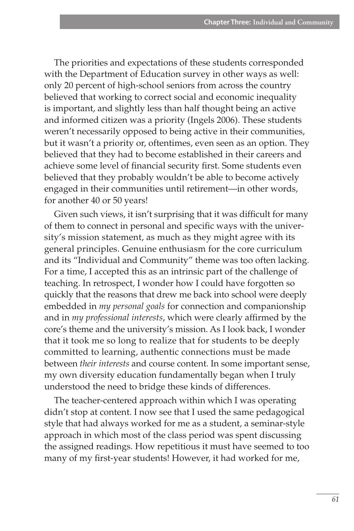The priorities and expectations of these students corresponded with the Department of Education survey in other ways as well: only 20 percent of high-school seniors from across the country believed that working to correct social and economic inequality is important, and slightly less than half thought being an active and informed citizen was a priority (Ingels 2006). These students weren't necessarily opposed to being active in their communities, but it wasn't a priority or, oftentimes, even seen as an option. They believed that they had to become established in their careers and achieve some level of financial security first. Some students even believed that they probably wouldn't be able to become actively engaged in their communities until retirement—in other words, for another 40 or 50 years!

Given such views, it isn't surprising that it was difficult for many of them to connect in personal and specific ways with the university's mission statement, as much as they might agree with its general principles. Genuine enthusiasm for the core curriculum and its "Individual and Community" theme was too often lacking. For a time, I accepted this as an intrinsic part of the challenge of teaching. In retrospect, I wonder how I could have forgotten so quickly that the reasons that drew me back into school were deeply embedded in my personal goals for connection and companionship and in my professional interests, which were clearly affirmed by the core's theme and the university's mission. As I look back, I wonder that it took me so long to realize that for students to be deeply committed to learning, authentic connections must be made between their interests and course content. In some important sense, my own diversity education fundamentally began when I truly understood the need to bridge these kinds of differences.

The teacher-centered approach within which I was operating didn't stop at content. I now see that I used the same pedagogical style that had always worked for me as a student, a seminar-style approach in which most of the class period was spent discussing the assigned readings. How repetitious it must have seemed to too many of my first-year students! However, it had worked for me,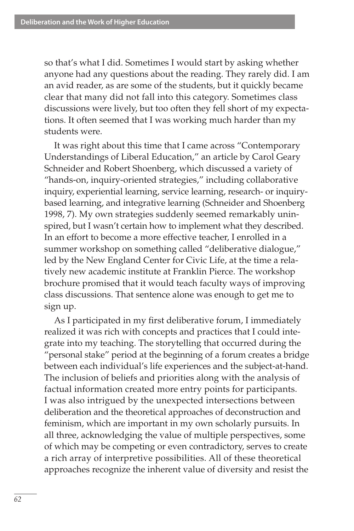so that's what I did. Sometimes I would start by asking whether anyone had any questions about the reading. They rarely did. I am an avid reader, as are some of the students, but it quickly became clear that many did not fall into this category. Sometimes class discussions were lively, but too often they fell short of my expectations. It often seemed that I was working much harder than my students were.

It was right about this time that I came across "Contemporary Understandings of Liberal Education," an article by Carol Geary Schneider and Robert Shoenberg, which discussed a variety of "hands-on, inquiry-oriented strategies," including collaborative inquiry, experiential learning, service learning, research- or inquirybased learning, and integrative learning (Schneider and Shoenberg 1998, 7). My own strategies suddenly seemed remarkably uninspired, but I wasn't certain how to implement what they described. In an effort to become a more effective teacher, I enrolled in a summer workshop on something called "deliberative dialogue," led by the New England Center for Civic Life, at the time a relatively new academic institute at Franklin Pierce. The workshop brochure promised that it would teach faculty ways of improving class discussions. That sentence alone was enough to get me to sign up.

As I participated in my first deliberative forum, I immediately realized it was rich with concepts and practices that I could integrate into my teaching. The storytelling that occurred during the "personal stake" period at the beginning of a forum creates a bridge between each individual's life experiences and the subject-at-hand. The inclusion of beliefs and priorities along with the analysis of factual information created more entry points for participants. I was also intrigued by the unexpected intersections between deliberation and the theoretical approaches of deconstruction and feminism, which are important in my own scholarly pursuits. In all three, acknowledging the value of multiple perspectives, some of which may be competing or even contradictory, serves to create a rich array of interpretive possibilities. All of these theoretical approaches recognize the inherent value of diversity and resist the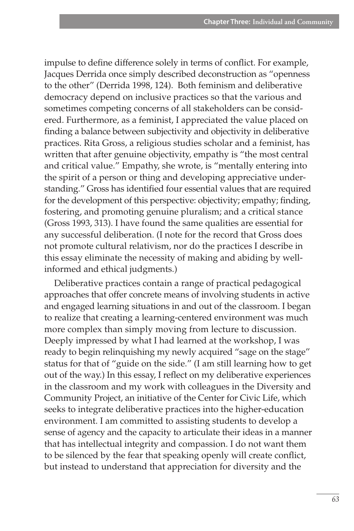impulse to define difference solely in terms of conflict. For example, Jacques Derrida once simply described deconstruction as "openness" to the other" (Derrida 1998, 124). Both feminism and deliberative democracy depend on inclusive practices so that the various and sometimes competing concerns of all stakeholders can be considered. Furthermore, as a feminist, I appreciated the value placed on finding a balance between subjectivity and objectivity in deliberative practices. Rita Gross, a religious studies scholar and a feminist, has written that after genuine objectivity, empathy is "the most central and critical value." Empathy, she wrote, is "mentally entering into the spirit of a person or thing and developing appreciative understanding." Gross has identified four essential values that are required for the development of this perspective: objectivity; empathy; finding, fostering, and promoting genuine pluralism; and a critical stance (Gross 1993, 313). I have found the same qualities are essential for any successful deliberation. (I note for the record that Gross does not promote cultural relativism, nor do the practices I describe in this essay eliminate the necessity of making and abiding by wellinformed and ethical judgments.)

Deliberative practices contain a range of practical pedagogical approaches that offer concrete means of involving students in active and engaged learning situations in and out of the classroom. I began to realize that creating a learning-centered environment was much more complex than simply moving from lecture to discussion. Deeply impressed by what I had learned at the workshop, I was ready to begin relinquishing my newly acquired "sage on the stage" status for that of "guide on the side." (I am still learning how to get out of the way.) In this essay, I reflect on my deliberative experiences in the classroom and my work with colleagues in the Diversity and Community Project, an initiative of the Center for Civic Life, which seeks to integrate deliberative practices into the higher-education environment. I am committed to assisting students to develop a sense of agency and the capacity to articulate their ideas in a manner that has intellectual integrity and compassion. I do not want them to be silenced by the fear that speaking openly will create conflict, but instead to understand that appreciation for diversity and the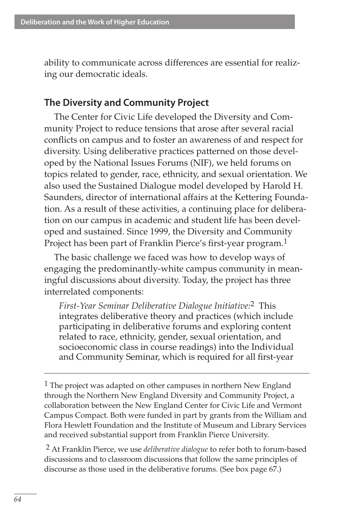ability to communicate across differences are essential for realizing our democratic ideals.

#### The Diversity and Community Project

The Center for Civic Life developed the Diversity and Community Project to reduce tensions that arose after several racial conflicts on campus and to foster an awareness of and respect for diversity. Using deliberative practices patterned on those developed by the National Issues Forums (NIF), we held forums on topics related to gender, race, ethnicity, and sexual orientation. We also used the Sustained Dialogue model developed by Harold H. Saunders, director of international affairs at the Kettering Foundation. As a result of these activities, a continuing place for deliberation on our campus in academic and student life has been developed and sustained. Since 1999, the Diversity and Community Project has been part of Franklin Pierce's first-year program.<sup>1</sup>

The basic challenge we faced was how to develop ways of engaging the predominantly-white campus community in meaningful discussions about diversity. Today, the project has three interrelated components:

First-Year Seminar Deliberative Dialogue Initiative:<sup>2</sup> This integrates deliberative theory and practices (which include participating in deliberative forums and exploring content related to race, ethnicity, gender, sexual orientation, and socioeconomic class in course readings) into the Individual and Community Seminar, which is required for all first-year

<sup>2</sup> At Franklin Pierce, we use *deliberative dialogue* to refer both to forum-based discussions and to classroom discussions that follow the same principles of discourse as those used in the deliberative forums. (See box page 67.)

<sup>&</sup>lt;sup>1</sup> The project was adapted on other campuses in northern New England through the Northern New England Diversity and Community Project, a collaboration between the New England Center for Civic Life and Vermont Campus Compact. Both were funded in part by grants from the William and Flora Hewlett Foundation and the Institute of Museum and Library Services and received substantial support from Franklin Pierce University.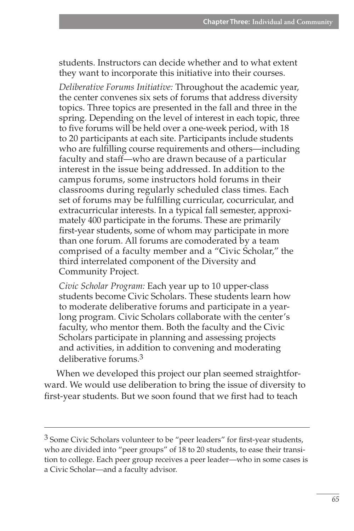students. Instructors can decide whether and to what extent they want to incorporate this initiative into their courses.

Deliberative Forums Initiative: Throughout the academic year, the center convenes six sets of forums that address diversity topics. Three topics are presented in the fall and three in the spring. Depending on the level of interest in each topic, three to five forums will be held over a one-week period, with 18 to 20 participants at each site. Participants include students who are fulfilling course requirements and others-including faculty and staff-who are drawn because of a particular interest in the issue being addressed. In addition to the campus forums, some instructors hold forums in their classrooms during regularly scheduled class times. Each set of forums may be fulfilling curricular, cocurricular, and extracurricular interests. In a typical fall semester, approximately 400 participate in the forums. These are primarily first-year students, some of whom may participate in more than one forum. All forums are comoderated by a team comprised of a faculty member and a "Civic Scholar," the third interrelated component of the Diversity and Community Project.

Civic Scholar Program: Each year up to 10 upper-class students become Civic Scholars. These students learn how to moderate deliberative forums and participate in a yearlong program. Civic Scholars collaborate with the center's faculty, who mentor them. Both the faculty and the Civic Scholars participate in planning and assessing projects and activities, in addition to convening and moderating deliberative forums.<sup>3</sup>

When we developed this project our plan seemed straightforward. We would use deliberation to bring the issue of diversity to first-year students. But we soon found that we first had to teach

<sup>&</sup>lt;sup>3</sup> Some Civic Scholars volunteer to be "peer leaders" for first-year students, who are divided into "peer groups" of 18 to 20 students, to ease their transition to college. Each peer group receives a peer leader—who in some cases is a Civic Scholar-and a faculty advisor.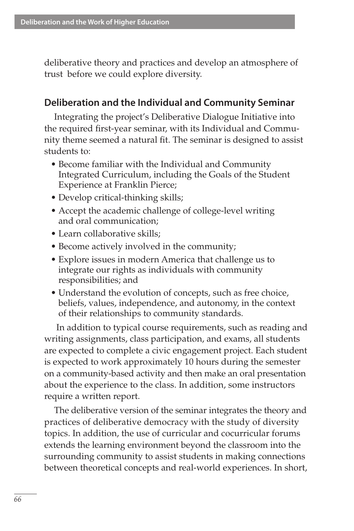deliberative theory and practices and develop an atmosphere of trust before we could explore diversity.

# Deliberation and the Individual and Community Seminar

Integrating the project's Deliberative Dialogue Initiative into the required first-year seminar, with its Individual and Community theme seemed a natural fit. The seminar is designed to assist students to:

- Become familiar with the Individual and Community Integrated Curriculum, including the Goals of the Student **Experience at Franklin Pierce;**
- Develop critical-thinking skills;
- Accept the academic challenge of college-level writing and oral communication:
- · Learn collaborative skills:
- Become actively involved in the community;
- Explore issues in modern America that challenge us to integrate our rights as individuals with community responsibilities; and
- Understand the evolution of concepts, such as free choice, beliefs, values, independence, and autonomy, in the context of their relationships to community standards.

In addition to typical course requirements, such as reading and writing assignments, class participation, and exams, all students are expected to complete a civic engagement project. Each student is expected to work approximately 10 hours during the semester on a community-based activity and then make an oral presentation about the experience to the class. In addition, some instructors require a written report.

The deliberative version of the seminar integrates the theory and practices of deliberative democracy with the study of diversity topics. In addition, the use of curricular and cocurricular forums extends the learning environment beyond the classroom into the surrounding community to assist students in making connections between theoretical concepts and real-world experiences. In short,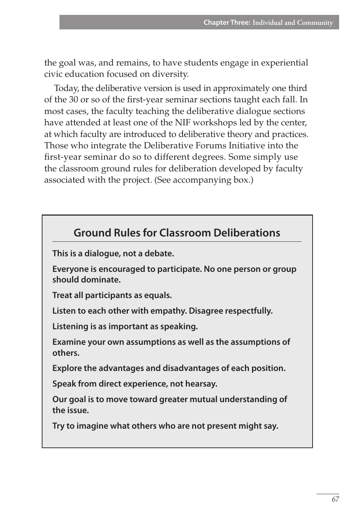the goal was, and remains, to have students engage in experiential civic education focused on diversity.

Today, the deliberative version is used in approximately one third of the 30 or so of the first-year seminar sections taught each fall. In most cases, the faculty teaching the deliberative dialogue sections have attended at least one of the NIF workshops led by the center, at which faculty are introduced to deliberative theory and practices. Those who integrate the Deliberative Forums Initiative into the first-year seminar do so to different degrees. Some simply use the classroom ground rules for deliberation developed by faculty associated with the project. (See accompanying box.)

# **Ground Rules for Classroom Deliberations**

This is a dialogue, not a debate.

Everyone is encouraged to participate. No one person or group should dominate.

Treat all participants as equals.

Listen to each other with empathy. Disagree respectfully.

Listening is as important as speaking.

Examine your own assumptions as well as the assumptions of others.

Explore the advantages and disadvantages of each position.

Speak from direct experience, not hearsay.

Our goal is to move toward greater mutual understanding of the issue.

Try to imagine what others who are not present might say.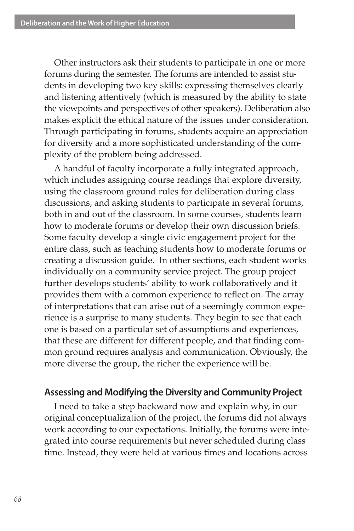Other instructors ask their students to participate in one or more forums during the semester. The forums are intended to assist students in developing two key skills: expressing themselves clearly and listening attentively (which is measured by the ability to state the viewpoints and perspectives of other speakers). Deliberation also makes explicit the ethical nature of the issues under consideration. Through participating in forums, students acquire an appreciation for diversity and a more sophisticated understanding of the complexity of the problem being addressed.

A handful of faculty incorporate a fully integrated approach, which includes assigning course readings that explore diversity, using the classroom ground rules for deliberation during class discussions, and asking students to participate in several forums, both in and out of the classroom. In some courses, students learn how to moderate forums or develop their own discussion briefs. Some faculty develop a single civic engagement project for the entire class, such as teaching students how to moderate forums or creating a discussion guide. In other sections, each student works individually on a community service project. The group project further develops students' ability to work collaboratively and it provides them with a common experience to reflect on. The array of interpretations that can arise out of a seemingly common experience is a surprise to many students. They begin to see that each one is based on a particular set of assumptions and experiences, that these are different for different people, and that finding common ground requires analysis and communication. Obviously, the more diverse the group, the richer the experience will be.

## Assessing and Modifying the Diversity and Community Project

I need to take a step backward now and explain why, in our original conceptualization of the project, the forums did not always work according to our expectations. Initially, the forums were integrated into course requirements but never scheduled during class time. Instead, they were held at various times and locations across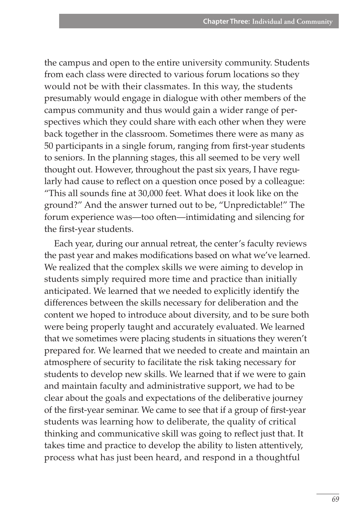the campus and open to the entire university community. Students from each class were directed to various forum locations so they would not be with their classmates. In this way, the students presumably would engage in dialogue with other members of the campus community and thus would gain a wider range of perspectives which they could share with each other when they were back together in the classroom. Sometimes there were as many as 50 participants in a single forum, ranging from first-year students to seniors. In the planning stages, this all seemed to be very well thought out. However, throughout the past six years, I have regularly had cause to reflect on a question once posed by a colleague: "This all sounds fine at 30,000 feet. What does it look like on the ground?" And the answer turned out to be, "Unpredictable!" The forum experience was—too often—intimidating and silencing for the first-year students.

Each year, during our annual retreat, the center's faculty reviews the past year and makes modifications based on what we've learned. We realized that the complex skills we were aiming to develop in students simply required more time and practice than initially anticipated. We learned that we needed to explicitly identify the differences between the skills necessary for deliberation and the content we hoped to introduce about diversity, and to be sure both were being properly taught and accurately evaluated. We learned that we sometimes were placing students in situations they weren't prepared for. We learned that we needed to create and maintain an atmosphere of security to facilitate the risk taking necessary for students to develop new skills. We learned that if we were to gain and maintain faculty and administrative support, we had to be clear about the goals and expectations of the deliberative journey of the first-year seminar. We came to see that if a group of first-year students was learning how to deliberate, the quality of critical thinking and communicative skill was going to reflect just that. It takes time and practice to develop the ability to listen attentively, process what has just been heard, and respond in a thoughtful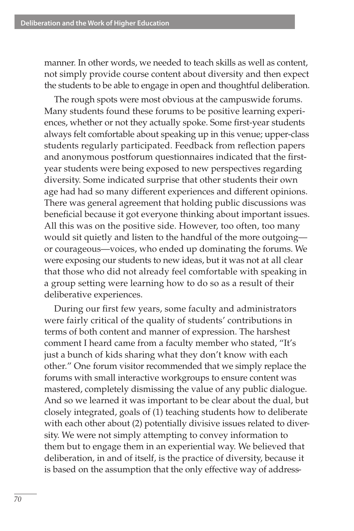manner. In other words, we needed to teach skills as well as content, not simply provide course content about diversity and then expect the students to be able to engage in open and thoughtful deliberation.

The rough spots were most obvious at the campuswide forums. Many students found these forums to be positive learning experiences, whether or not they actually spoke. Some first-year students always felt comfortable about speaking up in this venue; upper-class students regularly participated. Feedback from reflection papers and anonymous postforum questionnaires indicated that the firstyear students were being exposed to new perspectives regarding diversity. Some indicated surprise that other students their own age had had so many different experiences and different opinions. There was general agreement that holding public discussions was beneficial because it got everyone thinking about important issues. All this was on the positive side. However, too often, too many would sit quietly and listen to the handful of the more outgoingor courageous-voices, who ended up dominating the forums. We were exposing our students to new ideas, but it was not at all clear that those who did not already feel comfortable with speaking in a group setting were learning how to do so as a result of their deliberative experiences.

During our first few years, some faculty and administrators were fairly critical of the quality of students' contributions in terms of both content and manner of expression. The harshest comment I heard came from a faculty member who stated, "It's just a bunch of kids sharing what they don't know with each other." One forum visitor recommended that we simply replace the forums with small interactive workgroups to ensure content was mastered, completely dismissing the value of any public dialogue. And so we learned it was important to be clear about the dual, but closely integrated, goals of (1) teaching students how to deliberate with each other about (2) potentially divisive issues related to diversity. We were not simply attempting to convey information to them but to engage them in an experiential way. We believed that deliberation, in and of itself, is the practice of diversity, because it is based on the assumption that the only effective way of address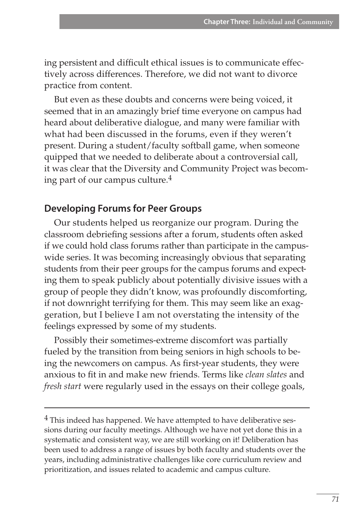ing persistent and difficult ethical issues is to communicate effectively across differences. Therefore, we did not want to divorce practice from content.

But even as these doubts and concerns were being voiced, it seemed that in an amazingly brief time everyone on campus had heard about deliberative dialogue, and many were familiar with what had been discussed in the forums, even if they weren't present. During a student/faculty softball game, when someone quipped that we needed to deliberate about a controversial call, it was clear that the Diversity and Community Project was becoming part of our campus culture.<sup>4</sup>

#### **Developing Forums for Peer Groups**

Our students helped us reorganize our program. During the classroom debriefing sessions after a forum, students often asked if we could hold class forums rather than participate in the campuswide series. It was becoming increasingly obvious that separating students from their peer groups for the campus forums and expecting them to speak publicly about potentially divisive issues with a group of people they didn't know, was profoundly discomforting, if not downright terrifying for them. This may seem like an exaggeration, but I believe I am not overstating the intensity of the feelings expressed by some of my students.

Possibly their sometimes-extreme discomfort was partially fueled by the transition from being seniors in high schools to being the newcomers on campus. As first-year students, they were anxious to fit in and make new friends. Terms like clean slates and fresh start were regularly used in the essays on their college goals,

<sup>&</sup>lt;sup>4</sup> This indeed has happened. We have attempted to have deliberative sessions during our faculty meetings. Although we have not yet done this in a systematic and consistent way, we are still working on it! Deliberation has been used to address a range of issues by both faculty and students over the years, including administrative challenges like core curriculum review and prioritization, and issues related to academic and campus culture.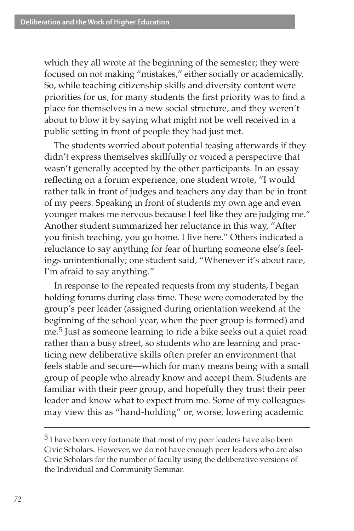which they all wrote at the beginning of the semester; they were focused on not making "mistakes," either socially or academically. So, while teaching citizenship skills and diversity content were priorities for us, for many students the first priority was to find a place for themselves in a new social structure, and they weren't about to blow it by saying what might not be well received in a public setting in front of people they had just met.

The students worried about potential teasing afterwards if they didn't express themselves skillfully or voiced a perspective that wasn't generally accepted by the other participants. In an essay reflecting on a forum experience, one student wrote, "I would rather talk in front of judges and teachers any day than be in front of my peers. Speaking in front of students my own age and even younger makes me nervous because I feel like they are judging me." Another student summarized her reluctance in this way, "After you finish teaching, you go home. I live here." Others indicated a reluctance to say anything for fear of hurting someone else's feelings unintentionally; one student said, "Whenever it's about race, I'm afraid to say anything."

In response to the repeated requests from my students, I began holding forums during class time. These were comoderated by the group's peer leader (assigned during orientation weekend at the beginning of the school year, when the peer group is formed) and me.<sup>5</sup> Just as someone learning to ride a bike seeks out a quiet road rather than a busy street, so students who are learning and practicing new deliberative skills often prefer an environment that feels stable and secure—which for many means being with a small group of people who already know and accept them. Students are familiar with their peer group, and hopefully they trust their peer leader and know what to expect from me. Some of my colleagues may view this as "hand-holding" or, worse, lowering academic

<sup>&</sup>lt;sup>5</sup> I have been very fortunate that most of my peer leaders have also been Civic Scholars. However, we do not have enough peer leaders who are also Civic Scholars for the number of faculty using the deliberative versions of the Individual and Community Seminar.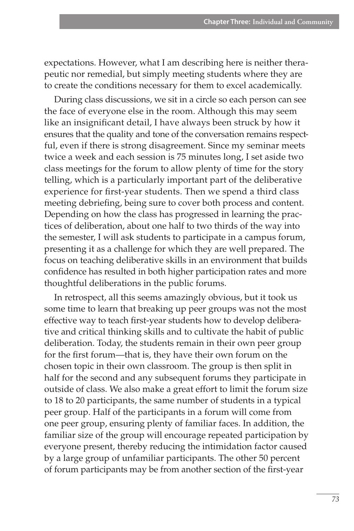expectations. However, what I am describing here is neither therapeutic nor remedial, but simply meeting students where they are to create the conditions necessary for them to excel academically.

During class discussions, we sit in a circle so each person can see the face of everyone else in the room. Although this may seem like an insignificant detail, I have always been struck by how it ensures that the quality and tone of the conversation remains respectful, even if there is strong disagreement. Since my seminar meets twice a week and each session is 75 minutes long, I set aside two class meetings for the forum to allow plenty of time for the story telling, which is a particularly important part of the deliberative experience for first-year students. Then we spend a third class meeting debriefing, being sure to cover both process and content. Depending on how the class has progressed in learning the practices of deliberation, about one half to two thirds of the way into the semester, I will ask students to participate in a campus forum, presenting it as a challenge for which they are well prepared. The focus on teaching deliberative skills in an environment that builds confidence has resulted in both higher participation rates and more thoughtful deliberations in the public forums.

In retrospect, all this seems amazingly obvious, but it took us some time to learn that breaking up peer groups was not the most effective way to teach first-year students how to develop deliberative and critical thinking skills and to cultivate the habit of public deliberation. Today, the students remain in their own peer group for the first forum-that is, they have their own forum on the chosen topic in their own classroom. The group is then split in half for the second and any subsequent forums they participate in outside of class. We also make a great effort to limit the forum size to 18 to 20 participants, the same number of students in a typical peer group. Half of the participants in a forum will come from one peer group, ensuring plenty of familiar faces. In addition, the familiar size of the group will encourage repeated participation by everyone present, thereby reducing the intimidation factor caused by a large group of unfamiliar participants. The other 50 percent of forum participants may be from another section of the first-year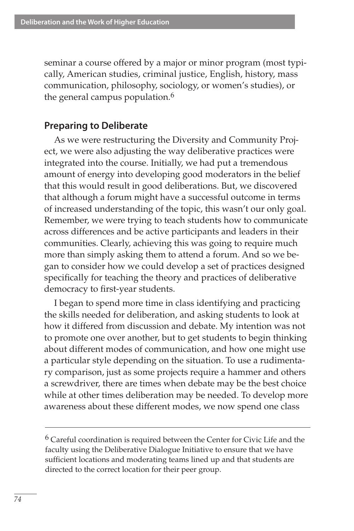seminar a course offered by a major or minor program (most typically, American studies, criminal justice, English, history, mass communication, philosophy, sociology, or women's studies), or the general campus population.<sup>6</sup>

#### **Preparing to Deliberate**

As we were restructuring the Diversity and Community Project, we were also adjusting the way deliberative practices were integrated into the course. Initially, we had put a tremendous amount of energy into developing good moderators in the belief that this would result in good deliberations. But, we discovered that although a forum might have a successful outcome in terms of increased understanding of the topic, this wasn't our only goal. Remember, we were trying to teach students how to communicate across differences and be active participants and leaders in their communities. Clearly, achieving this was going to require much more than simply asking them to attend a forum. And so we began to consider how we could develop a set of practices designed specifically for teaching the theory and practices of deliberative democracy to first-year students.

I began to spend more time in class identifying and practicing the skills needed for deliberation, and asking students to look at how it differed from discussion and debate. My intention was not to promote one over another, but to get students to begin thinking about different modes of communication, and how one might use a particular style depending on the situation. To use a rudimentary comparison, just as some projects require a hammer and others a screwdriver, there are times when debate may be the best choice while at other times deliberation may be needed. To develop more awareness about these different modes, we now spend one class

 $6$  Careful coordination is required between the Center for Civic Life and the faculty using the Deliberative Dialogue Initiative to ensure that we have sufficient locations and moderating teams lined up and that students are directed to the correct location for their peer group.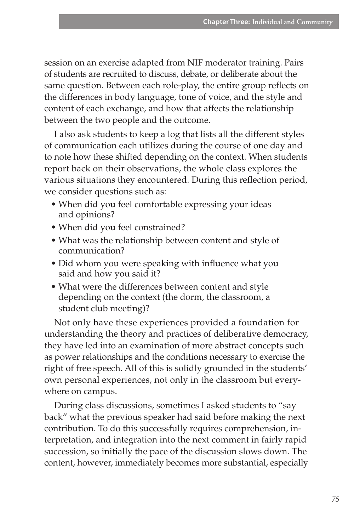session on an exercise adapted from NIF moderator training. Pairs of students are recruited to discuss, debate, or deliberate about the same question. Between each role-play, the entire group reflects on the differences in body language, tone of voice, and the style and content of each exchange, and how that affects the relationship between the two people and the outcome.

I also ask students to keep a log that lists all the different styles of communication each utilizes during the course of one day and to note how these shifted depending on the context. When students report back on their observations, the whole class explores the various situations they encountered. During this reflection period, we consider questions such as:

- When did you feel comfortable expressing your ideas and opinions?
- When did you feel constrained?
- What was the relationship between content and style of communication?
- · Did whom you were speaking with influence what you said and how you said it?
- What were the differences between content and style depending on the context (the dorm, the classroom, a student club meeting)?

Not only have these experiences provided a foundation for understanding the theory and practices of deliberative democracy, they have led into an examination of more abstract concepts such as power relationships and the conditions necessary to exercise the right of free speech. All of this is solidly grounded in the students' own personal experiences, not only in the classroom but everywhere on campus.

During class discussions, sometimes I asked students to "say back" what the previous speaker had said before making the next contribution. To do this successfully requires comprehension, interpretation, and integration into the next comment in fairly rapid succession, so initially the pace of the discussion slows down. The content, however, immediately becomes more substantial, especially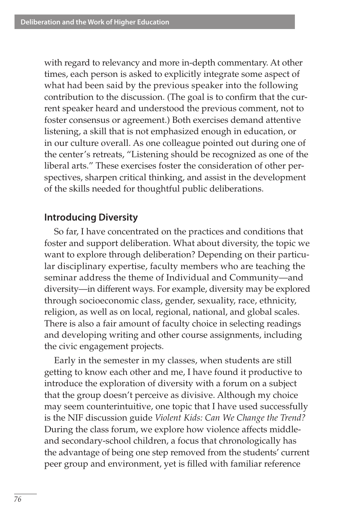with regard to relevancy and more in-depth commentary. At other times, each person is asked to explicitly integrate some aspect of what had been said by the previous speaker into the following contribution to the discussion. (The goal is to confirm that the current speaker heard and understood the previous comment, not to foster consensus or agreement.) Both exercises demand attentive listening, a skill that is not emphasized enough in education, or in our culture overall. As one colleague pointed out during one of the center's retreats, "Listening should be recognized as one of the liberal arts." These exercises foster the consideration of other perspectives, sharpen critical thinking, and assist in the development of the skills needed for thoughtful public deliberations.

# **Introducing Diversity**

So far, I have concentrated on the practices and conditions that foster and support deliberation. What about diversity, the topic we want to explore through deliberation? Depending on their particular disciplinary expertise, faculty members who are teaching the seminar address the theme of Individual and Community-and diversity-in different ways. For example, diversity may be explored through socioeconomic class, gender, sexuality, race, ethnicity, religion, as well as on local, regional, national, and global scales. There is also a fair amount of faculty choice in selecting readings and developing writing and other course assignments, including the civic engagement projects.

Early in the semester in my classes, when students are still getting to know each other and me, I have found it productive to introduce the exploration of diversity with a forum on a subject that the group doesn't perceive as divisive. Although my choice may seem counterintuitive, one topic that I have used successfully is the NIF discussion guide Violent Kids: Can We Change the Trend? During the class forum, we explore how violence affects middleand secondary-school children, a focus that chronologically has the advantage of being one step removed from the students' current peer group and environment, yet is filled with familiar reference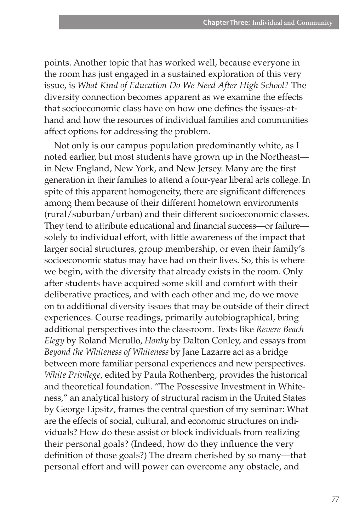points. Another topic that has worked well, because everyone in the room has just engaged in a sustained exploration of this very issue, is What Kind of Education Do We Need After High School? The diversity connection becomes apparent as we examine the effects that socioeconomic class have on how one defines the issues-athand and how the resources of individual families and communities affect options for addressing the problem.

Not only is our campus population predominantly white, as I noted earlier, but most students have grown up in the Northeastin New England, New York, and New Jersey. Many are the first generation in their families to attend a four-year liberal arts college. In spite of this apparent homogeneity, there are significant differences among them because of their different hometown environments (rural/suburban/urban) and their different socioeconomic classes. They tend to attribute educational and financial success-or failuresolely to individual effort, with little awareness of the impact that larger social structures, group membership, or even their family's socioeconomic status may have had on their lives. So, this is where we begin, with the diversity that already exists in the room. Only after students have acquired some skill and comfort with their deliberative practices, and with each other and me, do we move on to additional diversity issues that may be outside of their direct experiences. Course readings, primarily autobiographical, bring additional perspectives into the classroom. Texts like Revere Beach Elegy by Roland Merullo, Honky by Dalton Conley, and essays from Beyond the Whiteness of Whiteness by Jane Lazarre act as a bridge between more familiar personal experiences and new perspectives. White Privilege, edited by Paula Rothenberg, provides the historical and theoretical foundation. "The Possessive Investment in Whiteness," an analytical history of structural racism in the United States by George Lipsitz, frames the central question of my seminar: What are the effects of social, cultural, and economic structures on individuals? How do these assist or block individuals from realizing their personal goals? (Indeed, how do they influence the very definition of those goals?) The dream cherished by so many-that personal effort and will power can overcome any obstacle, and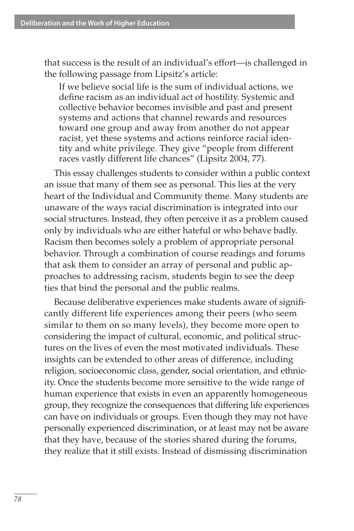that success is the result of an individual's effort-is challenged in the following passage from Lipsitz's article:

If we believe social life is the sum of individual actions, we define racism as an individual act of hostility. Systemic and collective behavior becomes invisible and past and present systems and actions that channel rewards and resources toward one group and away from another do not appear racist, yet these systems and actions reinforce racial identity and white privilege. They give "people from different races vastly different life chances" (Lipsitz 2004, 77).

This essay challenges students to consider within a public context an issue that many of them see as personal. This lies at the very heart of the Individual and Community theme. Many students are unaware of the ways racial discrimination is integrated into our social structures. Instead, they often perceive it as a problem caused only by individuals who are either hateful or who behave badly. Racism then becomes solely a problem of appropriate personal behavior. Through a combination of course readings and forums that ask them to consider an array of personal and public approaches to addressing racism, students begin to see the deep ties that bind the personal and the public realms.

Because deliberative experiences make students aware of significantly different life experiences among their peers (who seem similar to them on so many levels), they become more open to considering the impact of cultural, economic, and political structures on the lives of even the most motivated individuals. These insights can be extended to other areas of difference, including religion, socioeconomic class, gender, social orientation, and ethnicity. Once the students become more sensitive to the wide range of human experience that exists in even an apparently homogeneous group, they recognize the consequences that differing life experiences can have on individuals or groups. Even though they may not have personally experienced discrimination, or at least may not be aware that they have, because of the stories shared during the forums, they realize that it still exists. Instead of dismissing discrimination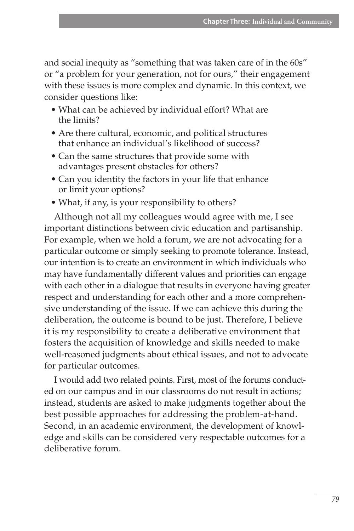and social inequity as "something that was taken care of in the 60s" or "a problem for your generation, not for ours," their engagement with these issues is more complex and dynamic. In this context, we consider questions like:

- What can be achieved by individual effort? What are the limits?
- Are there cultural, economic, and political structures that enhance an individual's likelihood of success?
- Can the same structures that provide some with advantages present obstacles for others?
- Can you identity the factors in your life that enhance or limit your options?
- What, if any, is your responsibility to others?

Although not all my colleagues would agree with me, I see important distinctions between civic education and partisanship. For example, when we hold a forum, we are not advocating for a particular outcome or simply seeking to promote tolerance. Instead, our intention is to create an environment in which individuals who may have fundamentally different values and priorities can engage with each other in a dialogue that results in everyone having greater respect and understanding for each other and a more comprehensive understanding of the issue. If we can achieve this during the deliberation, the outcome is bound to be just. Therefore, I believe it is my responsibility to create a deliberative environment that fosters the acquisition of knowledge and skills needed to make well-reasoned judgments about ethical issues, and not to advocate for particular outcomes.

I would add two related points. First, most of the forums conducted on our campus and in our classrooms do not result in actions; instead, students are asked to make judgments together about the best possible approaches for addressing the problem-at-hand. Second, in an academic environment, the development of knowledge and skills can be considered very respectable outcomes for a deliberative forum.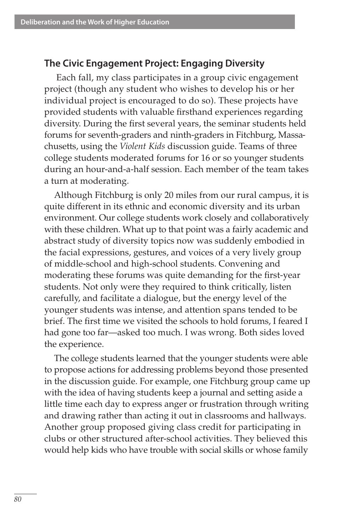#### The Civic Engagement Project: Engaging Diversity

Each fall, my class participates in a group civic engagement project (though any student who wishes to develop his or her individual project is encouraged to do so). These projects have provided students with valuable firsthand experiences regarding diversity. During the first several years, the seminar students held forums for seventh-graders and ninth-graders in Fitchburg, Massachusetts, using the Violent Kids discussion guide. Teams of three college students moderated forums for 16 or so younger students during an hour-and-a-half session. Each member of the team takes a turn at moderating.

Although Fitchburg is only 20 miles from our rural campus, it is quite different in its ethnic and economic diversity and its urban environment. Our college students work closely and collaboratively with these children. What up to that point was a fairly academic and abstract study of diversity topics now was suddenly embodied in the facial expressions, gestures, and voices of a very lively group of middle-school and high-school students. Convening and moderating these forums was quite demanding for the first-year students. Not only were they required to think critically, listen carefully, and facilitate a dialogue, but the energy level of the younger students was intense, and attention spans tended to be brief. The first time we visited the schools to hold forums, I feared I had gone too far—asked too much. I was wrong. Both sides loved the experience.

The college students learned that the younger students were able to propose actions for addressing problems beyond those presented in the discussion guide. For example, one Fitchburg group came up with the idea of having students keep a journal and setting aside a little time each day to express anger or frustration through writing and drawing rather than acting it out in classrooms and hallways. Another group proposed giving class credit for participating in clubs or other structured after-school activities. They believed this would help kids who have trouble with social skills or whose family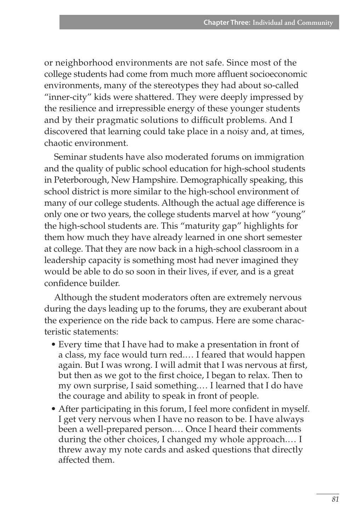or neighborhood environments are not safe. Since most of the college students had come from much more affluent socioeconomic environments, many of the stereotypes they had about so-called "inner-city" kids were shattered. They were deeply impressed by the resilience and irrepressible energy of these younger students and by their pragmatic solutions to difficult problems. And I discovered that learning could take place in a noisy and, at times, chaotic environment.

Seminar students have also moderated forums on immigration and the quality of public school education for high-school students in Peterborough, New Hampshire. Demographically speaking, this school district is more similar to the high-school environment of many of our college students. Although the actual age difference is only one or two years, the college students marvel at how "young" the high-school students are. This "maturity gap" highlights for them how much they have already learned in one short semester at college. That they are now back in a high-school classroom in a leadership capacity is something most had never imagined they would be able to do so soon in their lives, if ever, and is a great confidence builder.

Although the student moderators often are extremely nervous during the days leading up to the forums, they are exuberant about the experience on the ride back to campus. Here are some characteristic statements:

- Every time that I have had to make a presentation in front of a class, my face would turn red.... I feared that would happen again. But I was wrong. I will admit that I was nervous at first, but then as we got to the first choice, I began to relax. Then to my own surprise, I said something.... I learned that I do have the courage and ability to speak in front of people.
- After participating in this forum, I feel more confident in myself. I get very nervous when I have no reason to be. I have always been a well-prepared person.... Once I heard their comments during the other choices, I changed my whole approach.... I threw away my note cards and asked questions that directly affected them.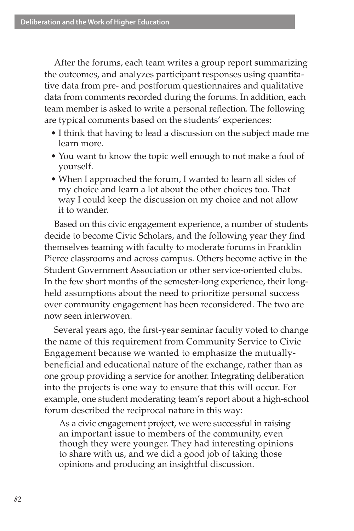After the forums, each team writes a group report summarizing the outcomes, and analyzes participant responses using quantitative data from pre- and postforum questionnaires and qualitative data from comments recorded during the forums. In addition, each team member is asked to write a personal reflection. The following are typical comments based on the students' experiences:

- I think that having to lead a discussion on the subject made me learn more.
- You want to know the topic well enough to not make a fool of yourself.
- When I approached the forum, I wanted to learn all sides of my choice and learn a lot about the other choices too. That way I could keep the discussion on my choice and not allow it to wander.

Based on this civic engagement experience, a number of students decide to become Civic Scholars, and the following year they find themselves teaming with faculty to moderate forums in Franklin Pierce classrooms and across campus. Others become active in the Student Government Association or other service-oriented clubs. In the few short months of the semester-long experience, their longheld assumptions about the need to prioritize personal success over community engagement has been reconsidered. The two are now seen interwoven.

Several years ago, the first-year seminar faculty voted to change the name of this requirement from Community Service to Civic Engagement because we wanted to emphasize the mutuallybeneficial and educational nature of the exchange, rather than as one group providing a service for another. Integrating deliberation into the projects is one way to ensure that this will occur. For example, one student moderating team's report about a high-school forum described the reciprocal nature in this way:

As a civic engagement project, we were successful in raising an important issue to members of the community, even though they were younger. They had interesting opinions to share with us, and we did a good job of taking those opinions and producing an insightful discussion.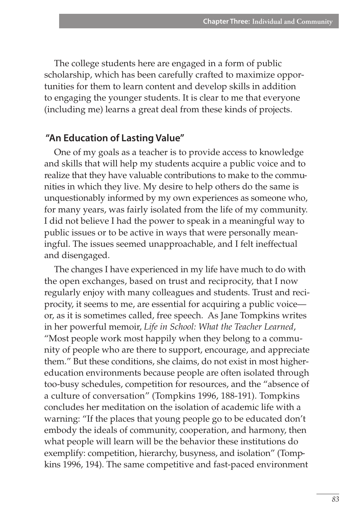The college students here are engaged in a form of public scholarship, which has been carefully crafted to maximize opportunities for them to learn content and develop skills in addition to engaging the younger students. It is clear to me that everyone (including me) learns a great deal from these kinds of projects.

### "An Education of Lasting Value"

One of my goals as a teacher is to provide access to knowledge and skills that will help my students acquire a public voice and to realize that they have valuable contributions to make to the communities in which they live. My desire to help others do the same is unquestionably informed by my own experiences as someone who, for many years, was fairly isolated from the life of my community. I did not believe I had the power to speak in a meaningful way to public issues or to be active in ways that were personally meaningful. The issues seemed unapproachable, and I felt ineffectual and disengaged.

The changes I have experienced in my life have much to do with the open exchanges, based on trust and reciprocity, that I now regularly enjoy with many colleagues and students. Trust and reciprocity, it seems to me, are essential for acquiring a public voice or, as it is sometimes called, free speech. As Jane Tompkins writes in her powerful memoir, Life in School: What the Teacher Learned, "Most people work most happily when they belong to a community of people who are there to support, encourage, and appreciate them." But these conditions, she claims, do not exist in most highereducation environments because people are often isolated through too-busy schedules, competition for resources, and the "absence of a culture of conversation" (Tompkins 1996, 188-191). Tompkins concludes her meditation on the isolation of academic life with a warning: "If the places that young people go to be educated don't embody the ideals of community, cooperation, and harmony, then what people will learn will be the behavior these institutions do exemplify: competition, hierarchy, busyness, and isolation" (Tompkins 1996, 194). The same competitive and fast-paced environment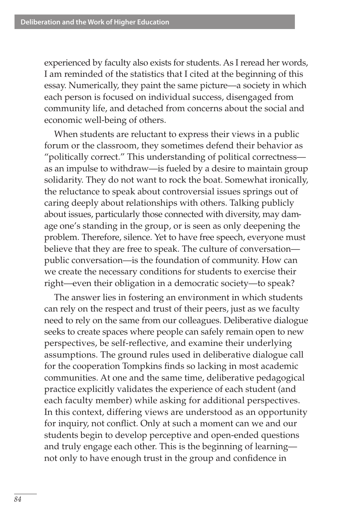experienced by faculty also exists for students. As I reread her words, I am reminded of the statistics that I cited at the beginning of this essay. Numerically, they paint the same picture-a society in which each person is focused on individual success, disengaged from community life, and detached from concerns about the social and economic well-being of others.

When students are reluctant to express their views in a public forum or the classroom, they sometimes defend their behavior as "politically correct." This understanding of political correctnessas an impulse to withdraw-is fueled by a desire to maintain group solidarity. They do not want to rock the boat. Somewhat ironically, the reluctance to speak about controversial issues springs out of caring deeply about relationships with others. Talking publicly about issues, particularly those connected with diversity, may damage one's standing in the group, or is seen as only deepening the problem. Therefore, silence. Yet to have free speech, everyone must believe that they are free to speak. The culture of conversationpublic conversation-is the foundation of community. How can we create the necessary conditions for students to exercise their right-even their obligation in a democratic society-to speak?

The answer lies in fostering an environment in which students can rely on the respect and trust of their peers, just as we faculty need to rely on the same from our colleagues. Deliberative dialogue seeks to create spaces where people can safely remain open to new perspectives, be self-reflective, and examine their underlying assumptions. The ground rules used in deliberative dialogue call for the cooperation Tompkins finds so lacking in most academic communities. At one and the same time, deliberative pedagogical practice explicitly validates the experience of each student (and each faculty member) while asking for additional perspectives. In this context, differing views are understood as an opportunity for inquiry, not conflict. Only at such a moment can we and our students begin to develop perceptive and open-ended questions and truly engage each other. This is the beginning of learning not only to have enough trust in the group and confidence in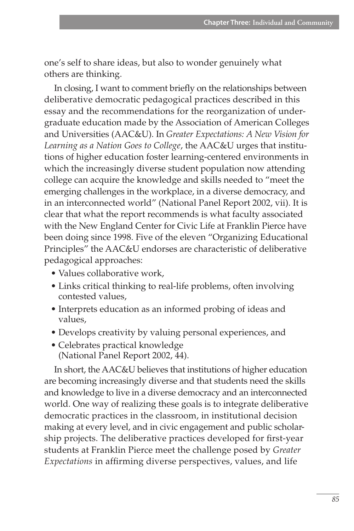one's self to share ideas, but also to wonder genuinely what others are thinking.

In closing, I want to comment briefly on the relationships between deliberative democratic pedagogical practices described in this essay and the recommendations for the reorganization of undergraduate education made by the Association of American Colleges and Universities (AAC&U). In Greater Expectations: A New Vision for Learning as a Nation Goes to College, the AAC&U urges that institutions of higher education foster learning-centered environments in which the increasingly diverse student population now attending college can acquire the knowledge and skills needed to "meet the emerging challenges in the workplace, in a diverse democracy, and in an interconnected world" (National Panel Report 2002, vii). It is clear that what the report recommends is what faculty associated with the New England Center for Civic Life at Franklin Pierce have been doing since 1998. Five of the eleven "Organizing Educational Principles" the AAC&U endorses are characteristic of deliberative pedagogical approaches:

- · Values collaborative work,
- Links critical thinking to real-life problems, often involving contested values.
- Interprets education as an informed probing of ideas and values,
- Develops creativity by valuing personal experiences, and
- Celebrates practical knowledge (National Panel Report 2002, 44).

In short, the AAC&U believes that institutions of higher education are becoming increasingly diverse and that students need the skills and knowledge to live in a diverse democracy and an interconnected world. One way of realizing these goals is to integrate deliberative democratic practices in the classroom, in institutional decision making at every level, and in civic engagement and public scholarship projects. The deliberative practices developed for first-year students at Franklin Pierce meet the challenge posed by Greater Expectations in affirming diverse perspectives, values, and life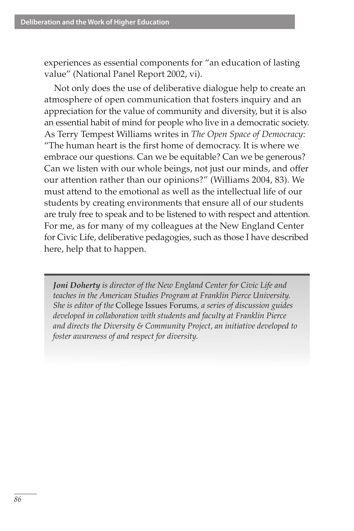experiences as essential components for "an education of lasting value" (National Panel Report 2002, vi).

Not only does the use of deliberative dialogue help to create an atmosphere of open communication that fosters inquiry and an appreciation for the value of community and diversity, but it is also an essential habit of mind for people who live in a democratic society. As Terry Tempest Williams writes in The Open Space of Democracy: "The human heart is the first home of democracy. It is where we embrace our questions. Can we be equitable? Can we be generous? Can we listen with our whole beings, not just our minds, and offer our attention rather than our opinions?" (Williams 2004, 83). We must attend to the emotional as well as the intellectual life of our students by creating environments that ensure all of our students are truly free to speak and to be listened to with respect and attention. For me, as for many of my colleagues at the New England Center for Civic Life, deliberative pedagogies, such as those I have described here, help that to happen.

Joni Doherty is director of the New England Center for Civic Life and teaches in the American Studies Program at Franklin Pierce University. She is editor of the College Issues Forums, a series of discussion guides developed in collaboration with students and faculty at Franklin Pierce and directs the Diversity  $\varepsilon$  Community Project, an initiative developed to foster awareness of and respect for diversity.